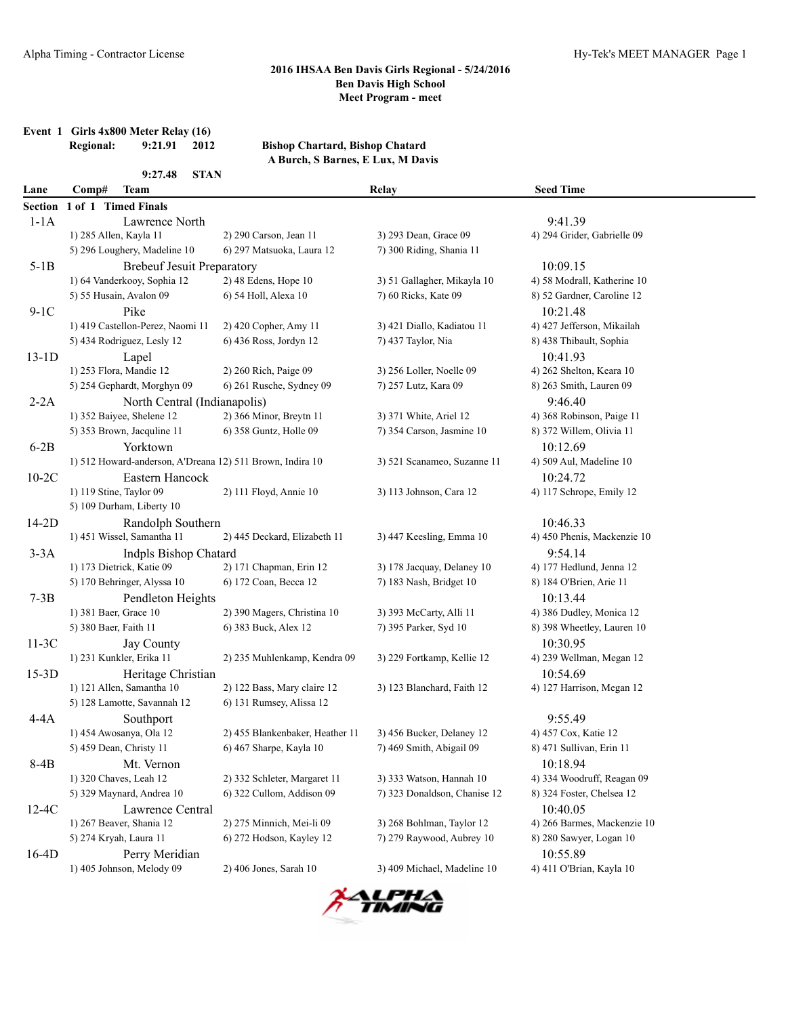**Event 1 Girls 4x800 Meter Relay (16)**

|                | <b>Regional:</b><br>9:21.91<br>2012                       | <b>Bishop Chartard, Bishop Chatard</b>                |                                                        |                                                        |
|----------------|-----------------------------------------------------------|-------------------------------------------------------|--------------------------------------------------------|--------------------------------------------------------|
|                |                                                           | A Burch, S Barnes, E Lux, M Davis                     |                                                        |                                                        |
| Lane           | 9:27.48<br><b>STAN</b><br>Comp#<br><b>Team</b>            |                                                       | Relay                                                  | <b>Seed Time</b>                                       |
| <b>Section</b> | 1 of 1 Timed Finals                                       |                                                       |                                                        |                                                        |
| $1-1A$         | Lawrence North                                            |                                                       |                                                        | 9:41.39                                                |
|                | 1) 285 Allen, Kayla 11                                    | 2) 290 Carson, Jean 11                                | 3) 293 Dean, Grace 09                                  | 4) 294 Grider, Gabrielle 09                            |
|                | 5) 296 Loughery, Madeline 10                              | 6) 297 Matsuoka, Laura 12                             | 7) 300 Riding, Shania 11                               |                                                        |
| $5-1B$         | <b>Brebeuf Jesuit Preparatory</b>                         |                                                       |                                                        | 10:09.15                                               |
|                | 1) 64 Vanderkooy, Sophia 12                               | 2) 48 Edens, Hope 10                                  | 3) 51 Gallagher, Mikayla 10                            | 4) 58 Modrall, Katherine 10                            |
|                | 5) 55 Husain, Avalon 09                                   | 6) 54 Holl, Alexa 10                                  | 7) 60 Ricks, Kate 09                                   | 8) 52 Gardner, Caroline 12                             |
| $9-1C$         | Pike                                                      |                                                       |                                                        | 10:21.48                                               |
|                | 1) 419 Castellon-Perez, Naomi 11                          | 2) 420 Copher, Amy 11                                 | 3) 421 Diallo, Kadiatou 11                             | 4) 427 Jefferson, Mikailah                             |
|                | 5) 434 Rodriguez, Lesly 12                                | 6) 436 Ross, Jordyn 12                                | 7) 437 Taylor, Nia                                     | 8) 438 Thibault, Sophia                                |
| $13-1D$        | Lapel                                                     |                                                       |                                                        | 10:41.93                                               |
|                | 1) 253 Flora, Mandie 12                                   | 2) 260 Rich, Paige 09                                 | 3) 256 Loller, Noelle 09                               | 4) 262 Shelton, Keara 10                               |
|                | 5) 254 Gephardt, Morghyn 09                               | 6) 261 Rusche, Sydney 09                              | 7) 257 Lutz, Kara 09                                   | 8) 263 Smith, Lauren 09                                |
| $2-2A$         | North Central (Indianapolis)                              |                                                       |                                                        | 9:46.40                                                |
|                | 1) 352 Baiyee, Shelene 12                                 | 2) 366 Minor, Breytn 11                               | 3) 371 White, Ariel 12                                 | 4) 368 Robinson, Paige 11                              |
|                | 5) 353 Brown, Jacquline 11                                | 6) 358 Guntz, Holle 09                                | 7) 354 Carson, Jasmine 10                              | 8) 372 Willem, Olivia 11                               |
| $6-2B$         | Yorktown                                                  |                                                       |                                                        | 10:12.69                                               |
|                | 1) 512 Howard-anderson, A'Dreana 12) 511 Brown, Indira 10 |                                                       | 3) 521 Scanameo, Suzanne 11                            | 4) 509 Aul, Madeline 10                                |
| $10-2C$        | Eastern Hancock                                           |                                                       |                                                        | 10:24.72                                               |
|                | 1) 119 Stine, Taylor 09                                   | 2) 111 Floyd, Annie 10                                | 3) 113 Johnson, Cara 12                                | 4) 117 Schrope, Emily 12                               |
|                | 5) 109 Durham, Liberty 10                                 |                                                       |                                                        |                                                        |
| 14-2D          | Randolph Southern                                         |                                                       |                                                        | 10:46.33                                               |
|                | 1) 451 Wissel, Samantha 11                                | 2) 445 Deckard, Elizabeth 11                          | 3) 447 Keesling, Emma 10                               | 4) 450 Phenis, Mackenzie 10                            |
| $3-3A$         | Indpls Bishop Chatard                                     |                                                       |                                                        | 9:54.14                                                |
|                | 1) 173 Dietrick, Katie 09                                 | 2) 171 Chapman, Erin 12                               | 3) 178 Jacquay, Delaney 10                             | 4) 177 Hedlund, Jenna 12                               |
|                | 5) 170 Behringer, Alyssa 10                               | 6) 172 Coan, Becca 12                                 | 7) 183 Nash, Bridget 10                                | 8) 184 O'Brien, Arie 11                                |
| $7-3B$         | Pendleton Heights                                         |                                                       |                                                        | 10:13.44                                               |
|                | 1) 381 Baer, Grace 10                                     | 2) 390 Magers, Christina 10                           | 3) 393 McCarty, Alli 11                                | 4) 386 Dudley, Monica 12                               |
|                | 5) 380 Baer, Faith 11                                     | 6) 383 Buck, Alex 12                                  | 7) 395 Parker, Syd 10                                  | 8) 398 Wheetley, Lauren 10                             |
| $11-3C$        | Jay County                                                |                                                       |                                                        | 10:30.95                                               |
|                | 1) 231 Kunkler, Erika 11                                  | 2) 235 Muhlenkamp, Kendra 09                          | 3) 229 Fortkamp, Kellie 12                             | 4) 239 Wellman, Megan 12                               |
| $15-3D$        | Heritage Christian                                        |                                                       |                                                        | 10:54.69                                               |
|                | 1) 121 Allen, Samantha 10                                 | 2) 122 Bass, Mary claire 12                           | 3) 123 Blanchard, Faith 12                             | 4) 127 Harrison, Megan 12                              |
|                | 5) 128 Lamotte, Savannah 12                               | 6) 131 Rumsey, Alissa 12                              |                                                        |                                                        |
| $4-4A$         | Southport                                                 |                                                       |                                                        | 9:55.49                                                |
|                | 1) 454 Awosanya, Ola 12                                   | 2) 455 Blankenbaker, Heather 11                       | 3) 456 Bucker, Delaney 12                              | 4) 457 Cox, Katie 12                                   |
|                | 5) 459 Dean, Christy 11                                   | 6) 467 Sharpe, Kayla 10                               | 7) 469 Smith, Abigail 09                               | 8) 471 Sullivan, Erin 11                               |
| $8-4B$         | Mt. Vernon                                                |                                                       |                                                        | 10:18.94                                               |
|                | 1) 320 Chaves, Leah 12                                    | 2) 332 Schleter, Margaret 11                          | 3) 333 Watson, Hannah 10                               | 4) 334 Woodruff, Reagan 09                             |
|                | 5) 329 Maynard, Andrea 10                                 | 6) 322 Cullom, Addison 09                             | 7) 323 Donaldson, Chanise 12                           | 8) 324 Foster, Chelsea 12                              |
| $12-4C$        | Lawrence Central                                          |                                                       |                                                        | 10:40.05                                               |
|                | 1) 267 Beaver, Shania 12<br>5) 274 Kryah, Laura 11        | 2) 275 Minnich, Mei-li 09<br>6) 272 Hodson, Kayley 12 | 3) 268 Bohlman, Taylor 12<br>7) 279 Raywood, Aubrey 10 | 4) 266 Barmes, Mackenzie 10<br>8) 280 Sawyer, Logan 10 |
| $16-4D$        | Perry Meridian                                            |                                                       |                                                        | 10:55.89                                               |
|                | 1) 405 Johnson, Melody 09                                 | 2) 406 Jones, Sarah 10                                | 3) 409 Michael, Madeline 10                            | 4) 411 O'Brian, Kayla 10                               |
|                |                                                           |                                                       |                                                        |                                                        |

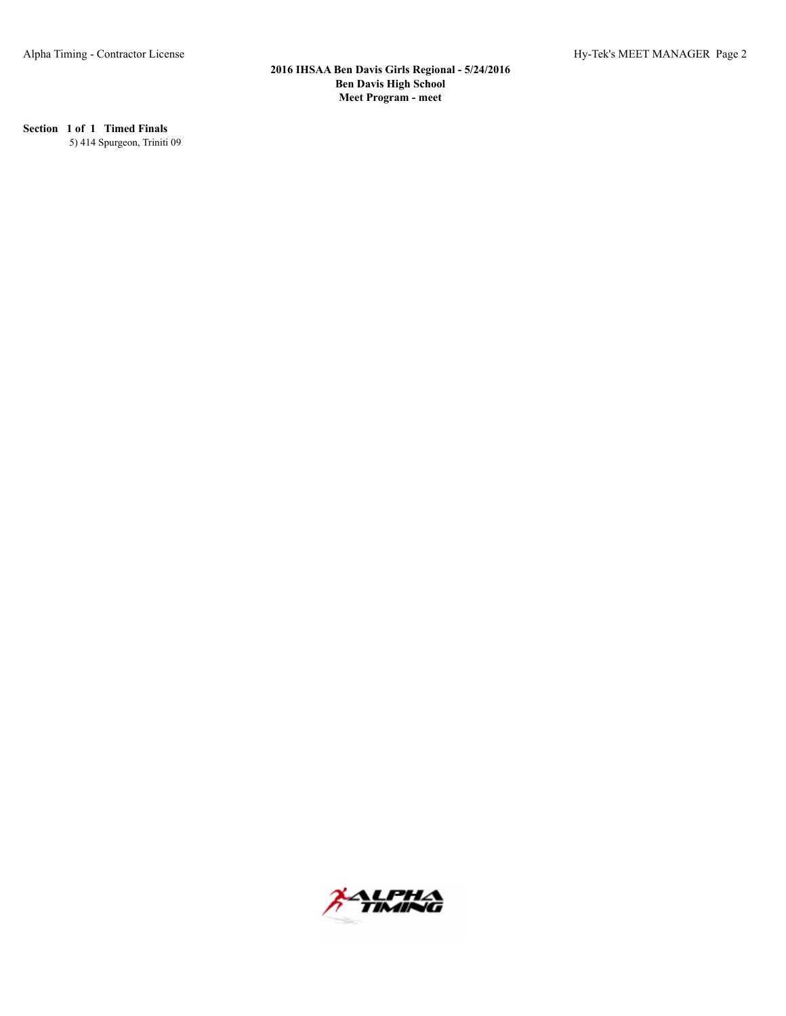# **Section 1 of 1 Timed Finals**

5) 414 Spurgeon, Triniti 09

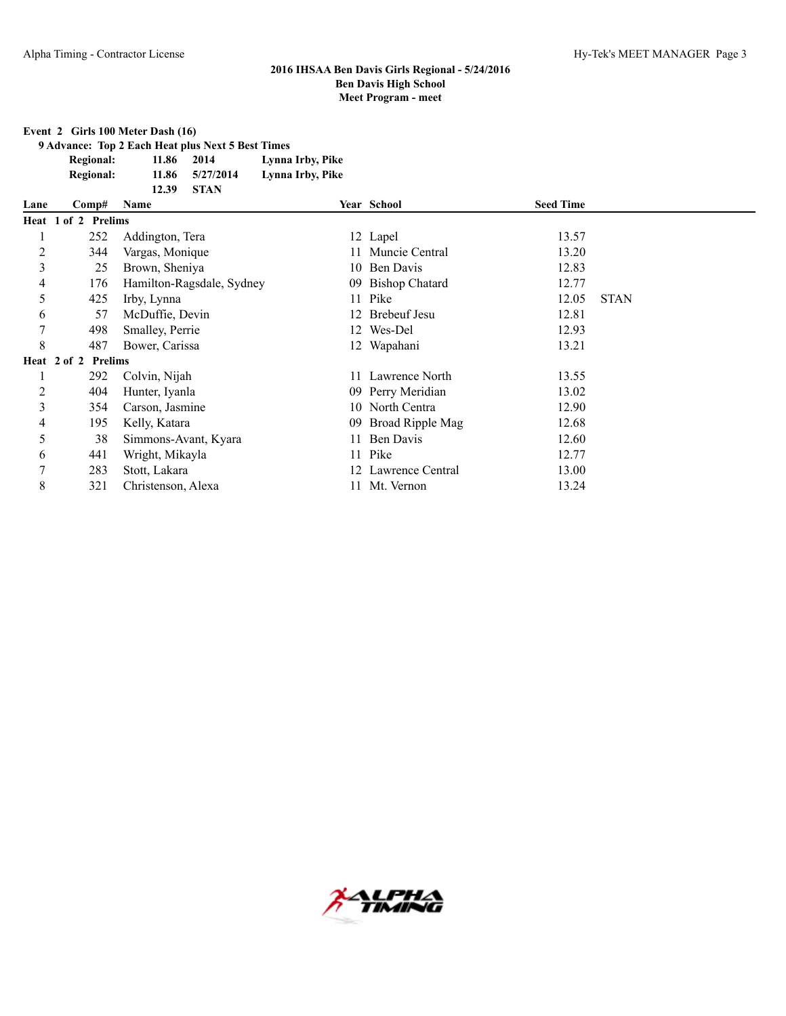#### **Event 2 Girls 100 Meter Dash (16)**

**9 Advance: Top 2 Each Heat plus Next 5 Best Times Regional: 11.86 2014 Lynna Irby, Pike**

**Regional: 11.86 5/27/2014 Lynna Irby, Pike**

|                |                                   | <b>STAN</b><br>12.39      |     |                     |                  |             |
|----------------|-----------------------------------|---------------------------|-----|---------------------|------------------|-------------|
| Lane           | Comp#                             | Name                      |     | Year School         | <b>Seed Time</b> |             |
|                | Heat 1 of 2 Prelims               |                           |     |                     |                  |             |
|                | 252                               | Addington, Tera           |     | 12 Lapel            | 13.57            |             |
| 2              | 344                               | Vargas, Monique           |     | Muncie Central      | 13.20            |             |
| 3              | 25                                | Brown, Sheniya            |     | 10 Ben Davis        | 12.83            |             |
| 4              | 176                               | Hamilton-Ragsdale, Sydney |     | 09 Bishop Chatard   | 12.77            |             |
| 5              | 425                               | Irby, Lynna               |     | 11 Pike             | 12.05            | <b>STAN</b> |
| 6              | 57                                | McDuffie, Devin           |     | 12 Brebeuf Jesu     | 12.81            |             |
| 7              | 498                               | Smalley, Perrie           |     | 12 Wes-Del          | 12.93            |             |
| 8              | 487                               | Bower, Carissa            |     | 12 Wapahani         | 13.21            |             |
|                | Heat $2$ of $2$<br><b>Prelims</b> |                           |     |                     |                  |             |
|                | 292                               | Colvin, Nijah             | 11. | Lawrence North      | 13.55            |             |
| $\overline{2}$ | 404                               | Hunter, Iyanla            |     | 09 Perry Meridian   | 13.02            |             |
| 3              | 354                               | Carson, Jasmine           |     | 10 North Centra     | 12.90            |             |
| 4              | 195                               | Kelly, Katara             | 09  | Broad Ripple Mag    | 12.68            |             |
| 5              | 38                                | Simmons-Avant, Kyara      |     | Ben Davis           | 12.60            |             |
| 6              | 441                               | Wright, Mikayla           |     | 11 Pike             | 12.77            |             |
| 7              | 283                               | Stott, Lakara             |     | 12 Lawrence Central | 13.00            |             |
| 8              | 321                               | Christenson, Alexa        |     | Mt. Vernon          | 13.24            |             |

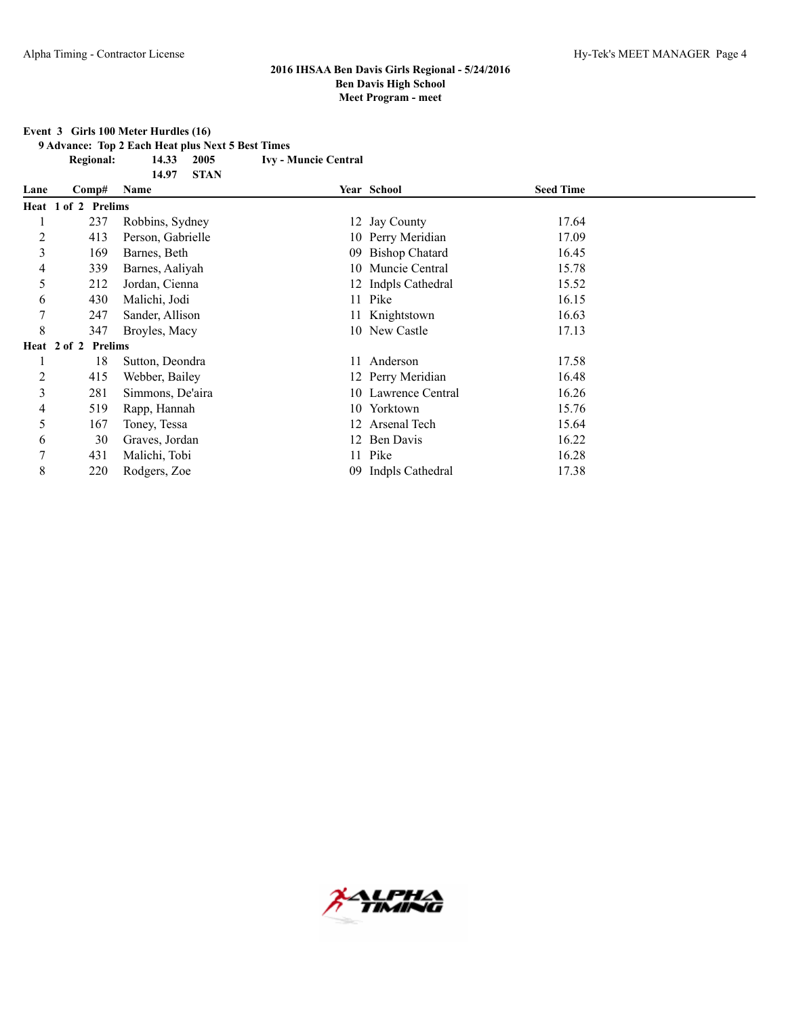**Event 3 Girls 100 Meter Hurdles (16)**

**9 Advance: Top 2 Each Heat plus Next 5 Best Times**

**Regional: 14.33 2005 Ivy - Muncie Central 14.97 STAN**

| Lane | Comp#               | Name              | Year School         | <b>Seed Time</b> |  |
|------|---------------------|-------------------|---------------------|------------------|--|
|      | Heat 1 of 2 Prelims |                   |                     |                  |  |
|      | 237                 | Robbins, Sydney   | 12 Jay County       | 17.64            |  |
| 2    | 413                 | Person, Gabrielle | 10 Perry Meridian   | 17.09            |  |
| 3    | 169                 | Barnes, Beth      | 09 Bishop Chatard   | 16.45            |  |
| 4    | 339                 | Barnes, Aaliyah   | 10 Muncie Central   | 15.78            |  |
| 5    | 212                 | Jordan, Cienna    | 12 Indpls Cathedral | 15.52            |  |
| 6    | 430                 | Malichi, Jodi     | 11 Pike             | 16.15            |  |
| 7    | 247                 | Sander, Allison   | 11 Knightstown      | 16.63            |  |
| 8    | 347                 | Broyles, Macy     | 10 New Castle       | 17.13            |  |
|      | Heat 2 of 2 Prelims |                   |                     |                  |  |
|      | 18                  | Sutton, Deondra   | 11 Anderson         | 17.58            |  |
| 2    | 415                 | Webber, Bailey    | 12 Perry Meridian   | 16.48            |  |
| 3    | 281                 | Simmons, De'aira  | 10 Lawrence Central | 16.26            |  |
| 4    | 519                 | Rapp, Hannah      | 10 Yorktown         | 15.76            |  |
| 5    | 167                 | Toney, Tessa      | 12 Arsenal Tech     | 15.64            |  |
| 6    | 30                  | Graves, Jordan    | 12 Ben Davis        | 16.22            |  |
| 7    | 431                 | Malichi, Tobi     | 11 Pike             | 16.28            |  |
| 8    | 220                 | Rodgers, Zoe      | 09 Indpls Cathedral | 17.38            |  |

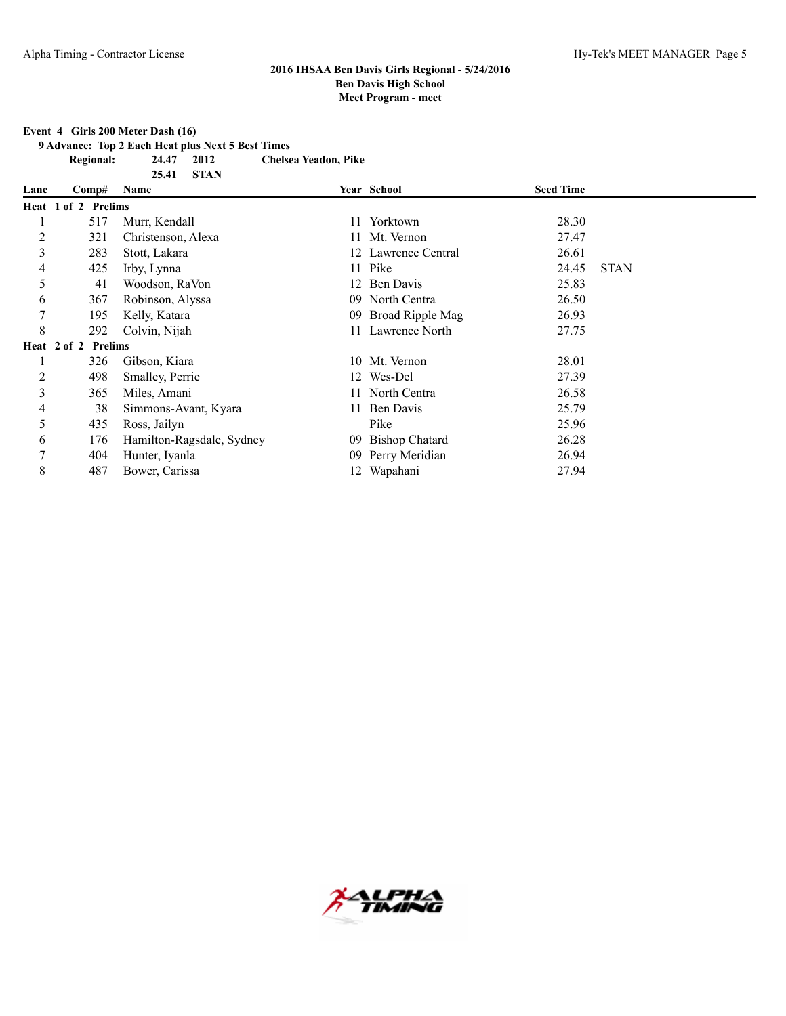#### **Event 4 Girls 200 Meter Dash (16)**

**9 Advance: Top 2 Each Heat plus Next 5 Best Times**

**25.41 STAN**

**Regional: 24.47 2012 Chelsea Yeadon, Pike**

| Lane | Comp#               | Name                      |      | Year School             | <b>Seed Time</b> |             |
|------|---------------------|---------------------------|------|-------------------------|------------------|-------------|
|      | Heat 1 of 2 Prelims |                           |      |                         |                  |             |
|      | 517                 | Murr, Kendall             | 11 - | Yorktown                | 28.30            |             |
| 2    | 321                 | Christenson, Alexa        |      | 11 Mt. Vernon           | 27.47            |             |
| 3    | 283                 | Stott, Lakara             |      | 12 Lawrence Central     | 26.61            |             |
| 4    | 425                 | Irby, Lynna               |      | 11 Pike                 | 24.45            | <b>STAN</b> |
| 5    | 41                  | Woodson, RaVon            |      | 12 Ben Davis            | 25.83            |             |
| 6    | 367                 | Robinson, Alyssa          |      | 09 North Centra         | 26.50            |             |
| 7    | 195                 | Kelly, Katara             | 09   | <b>Broad Ripple Mag</b> | 26.93            |             |
| 8    | 292                 | Colvin, Nijah             |      | 11 Lawrence North       | 27.75            |             |
|      | Heat 2 of 2 Prelims |                           |      |                         |                  |             |
|      | 326                 | Gibson, Kiara             |      | 10 Mt. Vernon           | 28.01            |             |
| 2    | 498                 | Smalley, Perrie           |      | 12 Wes-Del              | 27.39            |             |
| 3    | 365                 | Miles, Amani              |      | 11 North Centra         | 26.58            |             |
| 4    | 38                  | Simmons-Avant, Kyara      |      | 11 Ben Davis            | 25.79            |             |
| 5    | 435                 | Ross, Jailyn              |      | Pike                    | 25.96            |             |
| 6    | 176                 | Hamilton-Ragsdale, Sydney | 09   | <b>Bishop Chatard</b>   | 26.28            |             |
| 7    | 404                 | Hunter, Iyanla            | 09   | Perry Meridian          | 26.94            |             |
| 8    | 487                 | Bower, Carissa            |      | 12 Wapahani             | 27.94            |             |

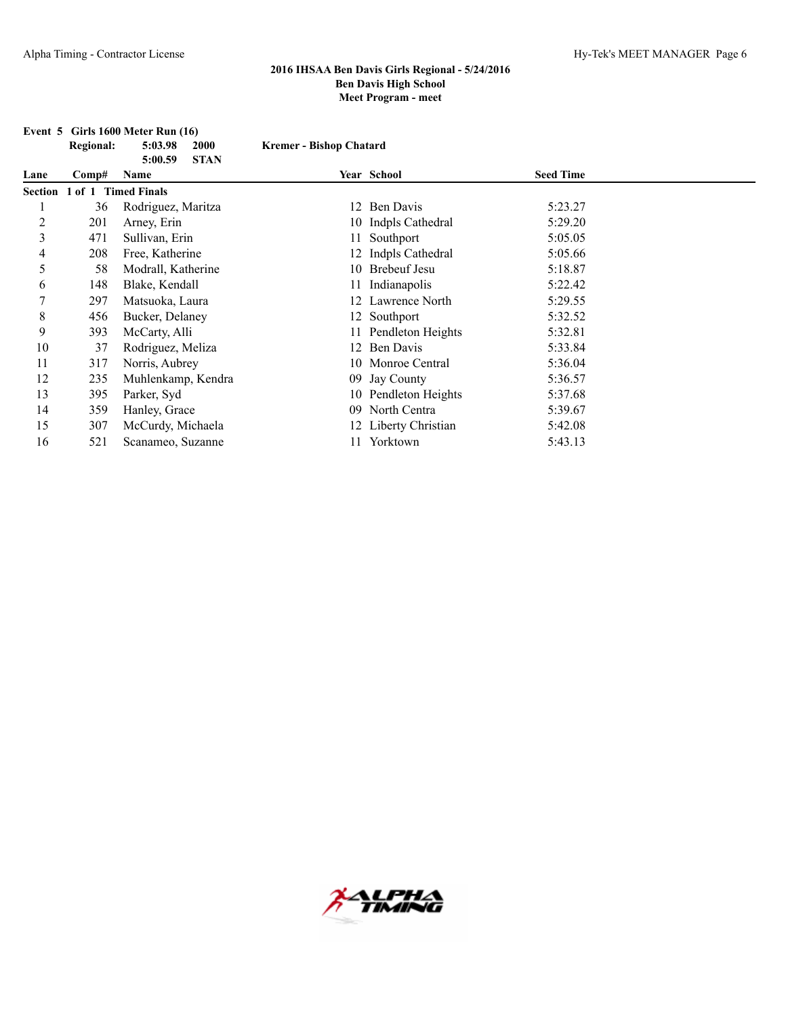|                | <b>Regional:</b>            | 5:03.98<br>2000                | <b>Kremer - Bishop Chatard</b> |                      |                  |  |
|----------------|-----------------------------|--------------------------------|--------------------------------|----------------------|------------------|--|
| Lane           | Comp#                       | <b>STAN</b><br>5:00.59<br>Name |                                | Year School          | <b>Seed Time</b> |  |
|                | Section 1 of 1 Timed Finals |                                |                                |                      |                  |  |
|                | 36                          | Rodriguez, Maritza             |                                | 12 Ben Davis         | 5:23.27          |  |
| $\overline{c}$ | 201                         | Arney, Erin                    |                                | 10 Indpls Cathedral  | 5:29.20          |  |
| 3              | 471                         | Sullivan, Erin                 |                                | 11 Southport         | 5:05.05          |  |
| 4              | 208                         | Free, Katherine                |                                | 12 Indpls Cathedral  | 5:05.66          |  |
| 5              | 58                          | Modrall, Katherine             |                                | 10 Brebeuf Jesu      | 5:18.87          |  |
| 6              | 148                         | Blake, Kendall                 | 11                             | Indianapolis         | 5:22.42          |  |
| 7              | 297                         | Matsuoka, Laura                | 12                             | Lawrence North       | 5:29.55          |  |
| 8              | 456                         | Bucker, Delaney                |                                | 12 Southport         | 5:32.52          |  |
| 9              | 393                         | McCarty, Alli                  |                                | 11 Pendleton Heights | 5:32.81          |  |
| 10             | 37                          | Rodriguez, Meliza              |                                | 12 Ben Davis         | 5:33.84          |  |
| 11             | 317                         | Norris, Aubrey                 |                                | 10 Monroe Central    | 5:36.04          |  |
| 12             | 235                         | Muhlenkamp, Kendra             |                                | 09 Jay County        | 5:36.57          |  |
| 13             | 395                         | Parker, Syd                    |                                | 10 Pendleton Heights | 5:37.68          |  |
| 14             | 359                         | Hanley, Grace                  |                                | 09 North Centra      | 5:39.67          |  |
| 15             | 307                         | McCurdy, Michaela              |                                | 12 Liberty Christian | 5:42.08          |  |
| 16             | 521                         | Scanameo, Suzanne              | 11.                            | Yorktown             | 5:43.13          |  |



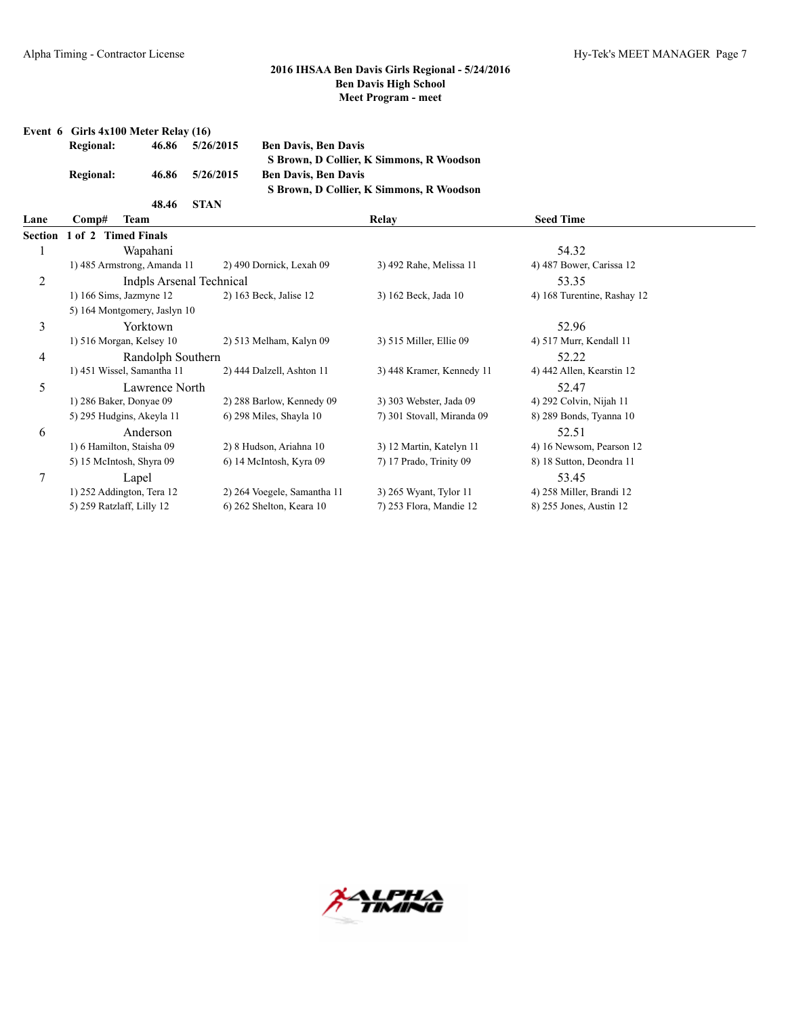| Event 6 Girls $4x100$ Meter Relay $(16)$ |       |             |                                          |
|------------------------------------------|-------|-------------|------------------------------------------|
| <b>Regional:</b>                         | 46.86 | 5/26/2015   | <b>Ben Davis, Ben Davis</b>              |
|                                          |       |             | S Brown, D Collier, K Simmons, R Woodson |
| <b>Regional:</b>                         | 46.86 | 5/26/2015   | <b>Ben Davis, Ben Davis</b>              |
|                                          |       |             | S Brown, D Collier, K Simmons, R Woodson |
|                                          | 48.46 | <b>STAN</b> |                                          |

| Lane | Comp#<br>Team                |                             | Relay                      | <b>Seed Time</b>            |  |
|------|------------------------------|-----------------------------|----------------------------|-----------------------------|--|
|      | Section 1 of 2 Timed Finals  |                             |                            |                             |  |
|      | Wapahani                     |                             |                            | 54.32                       |  |
|      | 1) 485 Armstrong, Amanda 11  | 2) 490 Dornick, Lexah 09    | 3) 492 Rahe, Melissa 11    | 4) 487 Bower, Carissa 12    |  |
| 2    | Indpls Arsenal Technical     |                             |                            | 53.35                       |  |
|      | $1)$ 166 Sims, Jazmyne 12    | 2) 163 Beck, Jalise 12      | 3) 162 Beck, Jada 10       | 4) 168 Turentine, Rashay 12 |  |
|      | 5) 164 Montgomery, Jaslyn 10 |                             |                            |                             |  |
| 3    | Yorktown                     |                             |                            | 52.96                       |  |
|      | 1) 516 Morgan, Kelsey 10     | 2) 513 Melham, Kalyn 09     | 3) 515 Miller, Ellie 09    | 4) 517 Murr, Kendall 11     |  |
| 4    | Randolph Southern            |                             |                            | 52.22                       |  |
|      | 1) 451 Wissel, Samantha 11   | 2) 444 Dalzell, Ashton 11   | 3) 448 Kramer, Kennedy 11  | 4) 442 Allen, Kearstin 12   |  |
| 5    | Lawrence North               |                             |                            | 52.47                       |  |
|      | 1) 286 Baker, Donyae 09      | 2) 288 Barlow, Kennedy 09   | 3) 303 Webster, Jada 09    | 4) 292 Colvin, Nijah 11     |  |
|      | 5) 295 Hudgins, Akeyla 11    | 6) 298 Miles, Shayla 10     | 7) 301 Stovall, Miranda 09 | 8) 289 Bonds, Tyanna 10     |  |
| 6    | Anderson                     |                             |                            | 52.51                       |  |
|      | 1) 6 Hamilton, Staisha 09    | 2) 8 Hudson, Ariahna 10     | 3) 12 Martin, Katelyn 11   | 4) 16 Newsom, Pearson 12    |  |
|      | 5) 15 McIntosh, Shyra 09     | 6) 14 McIntosh, Kyra 09     | 7) 17 Prado, Trinity 09    | 8) 18 Sutton, Deondra 11    |  |
| 7    | Lapel                        |                             |                            | 53.45                       |  |
|      | 1) 252 Addington, Tera 12    | 2) 264 Voegele, Samantha 11 | 3) 265 Wyant, Tylor 11     | 4) 258 Miller, Brandi 12    |  |
|      | 5) 259 Ratzlaff, Lilly 12    | 6) 262 Shelton, Keara 10    | 7) 253 Flora, Mandie 12    | 8) 255 Jones, Austin 12     |  |

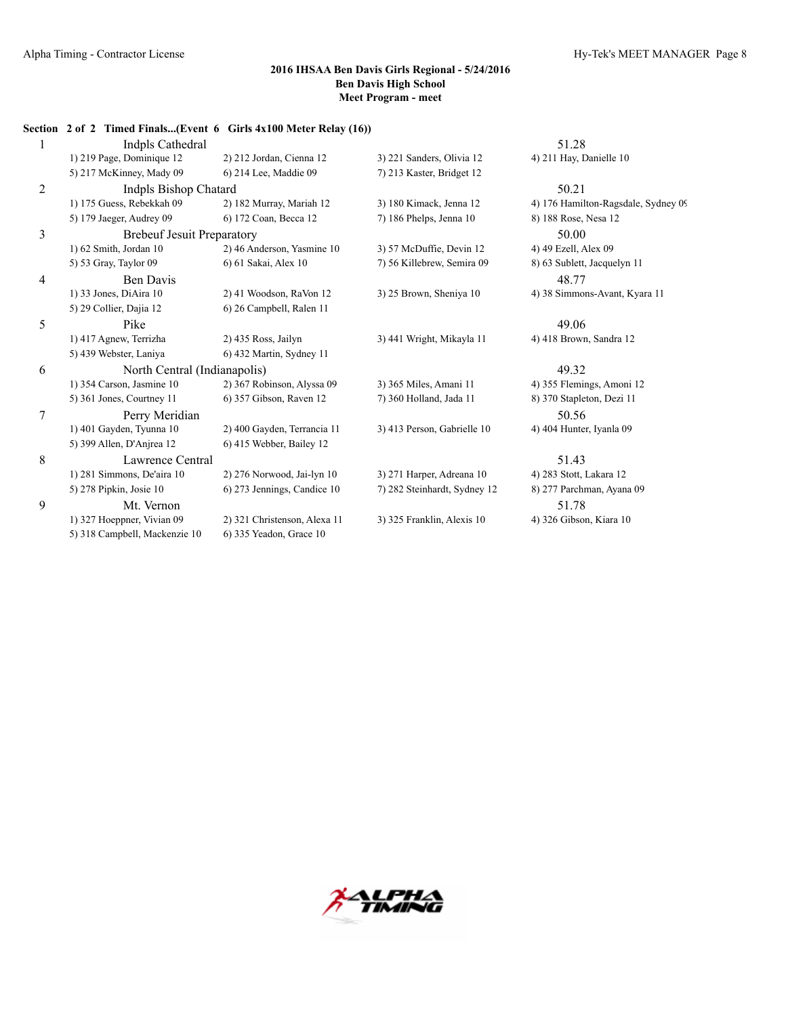|   | Section 2 of 2 Timed Finals(Event 6 Girls 4x100 Meter Relay (16)) |                              |                              |                                     |
|---|-------------------------------------------------------------------|------------------------------|------------------------------|-------------------------------------|
| 1 | Indpls Cathedral                                                  |                              |                              | 51.28                               |
|   | 1) 219 Page, Dominique 12                                         | 2) 212 Jordan, Cienna 12     | 3) 221 Sanders, Olivia 12    | 4) 211 Hay, Danielle 10             |
|   | 5) 217 McKinney, Mady 09                                          | 6) 214 Lee, Maddie 09        | 7) 213 Kaster, Bridget 12    |                                     |
| 2 | Indpls Bishop Chatard                                             |                              |                              | 50.21                               |
|   | 1) 175 Guess, Rebekkah 09                                         | 2) 182 Murray, Mariah 12     | 3) 180 Kimack, Jenna 12      | 4) 176 Hamilton-Ragsdale, Sydney 09 |
|   | 5) 179 Jaeger, Audrey 09                                          | 6) 172 Coan, Becca 12        | 7) 186 Phelps, Jenna 10      | 8) 188 Rose, Nesa 12                |
| 3 | <b>Brebeuf Jesuit Preparatory</b>                                 |                              |                              | 50.00                               |
|   | 1) 62 Smith, Jordan 10                                            | 2) 46 Anderson, Yasmine 10   | 3) 57 McDuffie, Devin 12     | 4) 49 Ezell, Alex 09                |
|   | 5) 53 Gray, Taylor 09                                             | 6) 61 Sakai, Alex 10         | 7) 56 Killebrew, Semira 09   | 8) 63 Sublett, Jacquelyn 11         |
| 4 | <b>Ben Davis</b>                                                  |                              |                              | 48.77                               |
|   | 1) 33 Jones, DiAira 10                                            | 2) 41 Woodson, RaVon 12      | 3) 25 Brown, Sheniya 10      | 4) 38 Simmons-Avant, Kyara 11       |
|   | 5) 29 Collier, Dajia 12                                           | 6) 26 Campbell, Ralen 11     |                              |                                     |
| 5 | Pike                                                              |                              |                              | 49.06                               |
|   | 1) 417 Agnew, Terrizha                                            | 2) 435 Ross, Jailyn          | 3) 441 Wright, Mikayla 11    | 4) 418 Brown, Sandra 12             |
|   | 5) 439 Webster, Laniya                                            | 6) 432 Martin, Sydney 11     |                              |                                     |
| 6 | North Central (Indianapolis)                                      |                              |                              | 49.32                               |
|   | 1) 354 Carson, Jasmine 10                                         | 2) 367 Robinson, Alyssa 09   | 3) 365 Miles, Amani 11       | 4) 355 Flemings, Amoni 12           |
|   | 5) 361 Jones, Courtney 11                                         | 6) 357 Gibson, Raven 12      | 7) 360 Holland, Jada 11      | 8) 370 Stapleton, Dezi 11           |
| 7 | Perry Meridian                                                    |                              |                              | 50.56                               |
|   | 1) 401 Gayden, Tyunna 10                                          | 2) 400 Gayden, Terrancia 11  | 3) 413 Person, Gabrielle 10  | 4) 404 Hunter, Ivanla 09            |
|   | 5) 399 Allen, D'Anjrea 12                                         | 6) 415 Webber, Bailey 12     |                              |                                     |
| 8 | Lawrence Central                                                  |                              |                              | 51.43                               |
|   | 1) 281 Simmons, De'aira 10                                        | 2) 276 Norwood, Jai-lyn 10   | 3) 271 Harper, Adreana 10    | 4) 283 Stott, Lakara 12             |
|   | 5) 278 Pipkin, Josie 10                                           | 6) 273 Jennings, Candice 10  | 7) 282 Steinhardt, Sydney 12 | 8) 277 Parchman, Ayana 09           |
| 9 | Mt. Vernon                                                        |                              |                              | 51.78                               |
|   | 1) 327 Hoeppner, Vivian 09                                        | 2) 321 Christenson, Alexa 11 | 3) 325 Franklin, Alexis 10   | 4) 326 Gibson, Kiara 10             |
|   | 5) 318 Campbell, Mackenzie 10                                     | 6) 335 Yeadon, Grace 10      |                              |                                     |

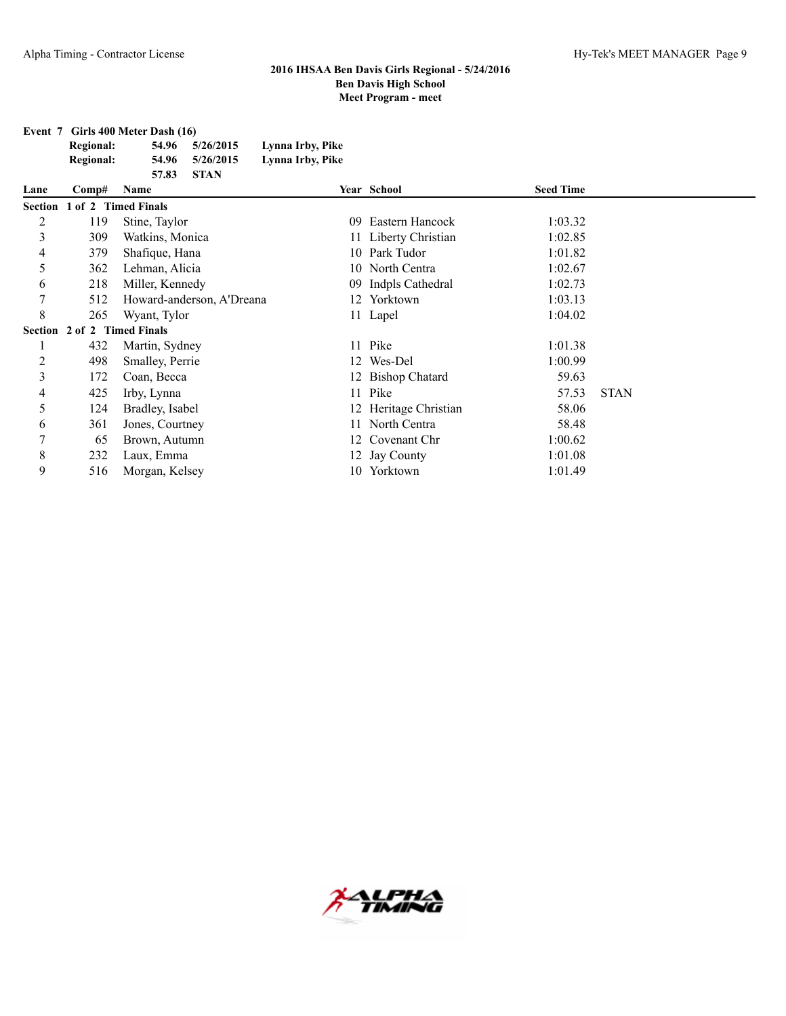**Event 7 Girls 400 Meter Dash (16) Regional: 54.96 5/26/2015 Lynna Irby, Pike Regional: 54.96 5/26/2015 Lynna Irby, Pike 57.83 STAN**

| Lane           | Comp#               | Name                      |     | Year School           | <b>Seed Time</b> |             |
|----------------|---------------------|---------------------------|-----|-----------------------|------------------|-------------|
| <b>Section</b> | 1 of 2 Timed Finals |                           |     |                       |                  |             |
| 2              | 119                 | Stine, Taylor             | 09  | Eastern Hancock       | 1:03.32          |             |
| 3              | 309                 | Watkins, Monica           |     | 11 Liberty Christian  | 1:02.85          |             |
| 4              | 379                 | Shafique, Hana            |     | 10 Park Tudor         | 1:01.82          |             |
| 5              | 362                 | Lehman, Alicia            |     | 10 North Centra       | 1:02.67          |             |
| 6              | 218                 | Miller, Kennedy           | 09. | Indpls Cathedral      | 1:02.73          |             |
| 7              | 512                 | Howard-anderson, A'Dreana |     | 12 Yorktown           | 1:03.13          |             |
| 8              | 265                 | Wyant, Tylor              |     | 11 Lapel              | 1:04.02          |             |
| Section        | 2 of 2 Timed Finals |                           |     |                       |                  |             |
|                | 432                 | Martin, Sydney            | 11  | Pike                  | 1:01.38          |             |
| $\overline{c}$ | 498                 | Smalley, Perrie           |     | 12 Wes-Del            | 1:00.99          |             |
| 3              | 172                 | Coan, Becca               |     | 12 Bishop Chatard     | 59.63            |             |
| 4              | 425                 | Irby, Lynna               | 11  | Pike                  | 57.53            | <b>STAN</b> |
| 5              | 124                 | Bradley, Isabel           |     | 12 Heritage Christian | 58.06            |             |
| 6              | 361                 | Jones, Courtney           | 11  | North Centra          | 58.48            |             |
| 7              | 65                  | Brown, Autumn             |     | 12 Covenant Chr       | 1:00.62          |             |
| $\,$ 8 $\,$    | 232                 | Laux, Emma                |     | 12 Jay County         | 1:01.08          |             |
| 9              | 516                 | Morgan, Kelsey            | 10- | Yorktown              | 1:01.49          |             |

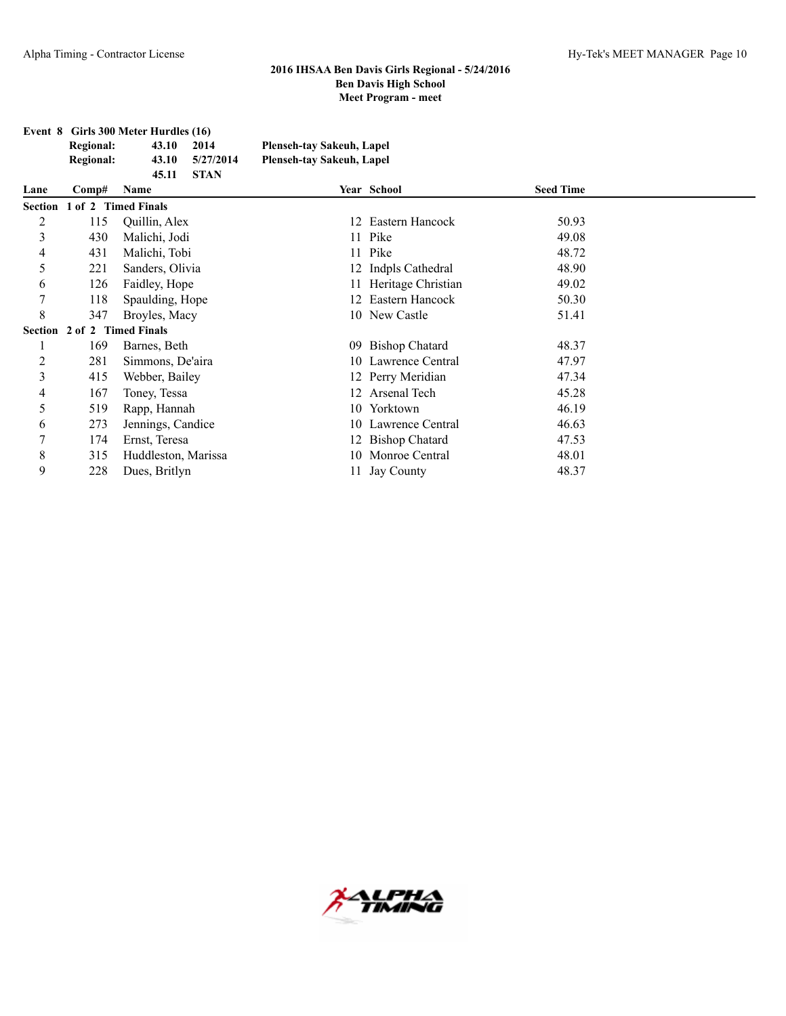|                  | Event 8 Girls 300 Meter Hurdles (16) |             |                           |  |  |  |
|------------------|--------------------------------------|-------------|---------------------------|--|--|--|
| Regional:        | 43.10                                | 2014        | Plenseh-tay Sakeuh, Lapel |  |  |  |
| <b>Regional:</b> | 43.10                                | 5/27/2014   | Plenseh-tay Sakeuh, Lapel |  |  |  |
|                  | 45.11                                | <b>STAN</b> |                           |  |  |  |

| Lane    | Comp#               | Name                        |     | Year School           | <b>Seed Time</b> |  |
|---------|---------------------|-----------------------------|-----|-----------------------|------------------|--|
|         |                     | Section 1 of 2 Timed Finals |     |                       |                  |  |
| 2       | 115                 | Quillin, Alex               |     | 12 Eastern Hancock    | 50.93            |  |
| 3       | 430                 | Malichi, Jodi               |     | 11 Pike               | 49.08            |  |
| 4       | 431                 | Malichi, Tobi               |     | 11 Pike               | 48.72            |  |
| 5       | 221                 | Sanders, Olivia             |     | 12 Indpls Cathedral   | 48.90            |  |
| 6       | 126                 | Faidley, Hope               |     | 11 Heritage Christian | 49.02            |  |
| 7       | 118                 | Spaulding, Hope             |     | 12 Eastern Hancock    | 50.30            |  |
| 8       | 347                 | Broyles, Macy               |     | 10 New Castle         | 51.41            |  |
| Section | 2 of 2 Timed Finals |                             |     |                       |                  |  |
|         | 169                 | Barnes, Beth                | 09  | <b>Bishop Chatard</b> | 48.37            |  |
| 2       | 281                 | Simmons, De'aira            |     | 10 Lawrence Central   | 47.97            |  |
| 3       | 415                 | Webber, Bailey              |     | 12 Perry Meridian     | 47.34            |  |
| 4       | 167                 | Toney, Tessa                | 12. | Arsenal Tech          | 45.28            |  |
| 5       | 519                 | Rapp, Hannah                | 10  | Yorktown              | 46.19            |  |
| 6       | 273                 | Jennings, Candice           |     | 10 Lawrence Central   | 46.63            |  |
| 7       | 174                 | Ernst, Teresa               |     | 12 Bishop Chatard     | 47.53            |  |
| 8       | 315                 | Huddleston, Marissa         | 10. | Monroe Central        | 48.01            |  |
| 9       | 228                 | Dues, Britlyn               |     | <b>Jay County</b>     | 48.37            |  |

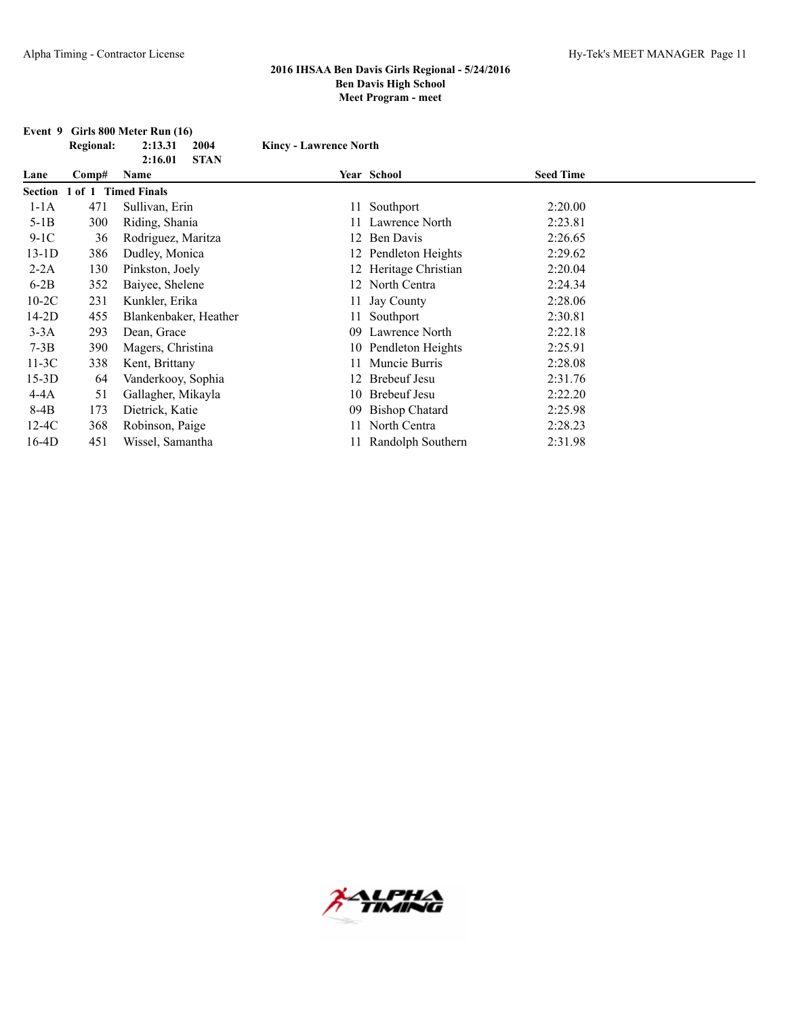| Event 9 |                     | Girls 800 Meter Run (16) |                               |                       |                  |  |
|---------|---------------------|--------------------------|-------------------------------|-----------------------|------------------|--|
|         | <b>Regional:</b>    | 2:13.31<br>2004          | <b>Kincy - Lawrence North</b> |                       |                  |  |
|         |                     | <b>STAN</b><br>2:16.01   |                               |                       |                  |  |
| Lane    | Comp#               | Name                     |                               | Year School           | <b>Seed Time</b> |  |
| Section | 1 of 1 Timed Finals |                          |                               |                       |                  |  |
| $1-1A$  | 471                 | Sullivan, Erin           |                               | 11 Southport          | 2:20.00          |  |
| $5-1B$  | 300                 | Riding, Shania           |                               | Lawrence North        | 2:23.81          |  |
| $9-1C$  | 36                  | Rodriguez, Maritza       | 12                            | Ben Davis             | 2:26.65          |  |
| $13-1D$ | 386                 | Dudley, Monica           |                               | 12 Pendleton Heights  | 2:29.62          |  |
| $2-2A$  | 130                 | Pinkston, Joely          |                               | 12 Heritage Christian | 2:20.04          |  |
| $6-2B$  | 352                 | Baiyee, Shelene          |                               | 12 North Centra       | 2:24.34          |  |
| $10-2C$ | 231                 | Kunkler, Erika           |                               | 11 Jay County         | 2:28.06          |  |
| $14-2D$ | 455                 | Blankenbaker, Heather    |                               | 11 Southport          | 2:30.81          |  |
| $3-3A$  | 293                 | Dean, Grace              | 09                            | Lawrence North        | 2:22.18          |  |
| $7-3B$  | 390                 | Magers, Christina        |                               | 10 Pendleton Heights  | 2:25.91          |  |
| $11-3C$ | 338                 | Kent, Brittany           |                               | Muncie Burris         | 2:28.08          |  |
| $15-3D$ | 64                  | Vanderkooy, Sophia       |                               | <b>Brebeuf Jesu</b>   | 2:31.76          |  |
| $4-4A$  | 51                  | Gallagher, Mikayla       | 10                            | <b>Brebeuf Jesu</b>   | 2:22.20          |  |
| 8-4B    | 173                 | Dietrick, Katie          | 09                            | <b>Bishop Chatard</b> | 2:25.98          |  |
| $12-4C$ | 368                 | Robinson, Paige          |                               | 11 North Centra       | 2:28.23          |  |
| $16-4D$ | 451                 | Wissel, Samantha         |                               | 11 Randolph Southern  | 2:31.98          |  |

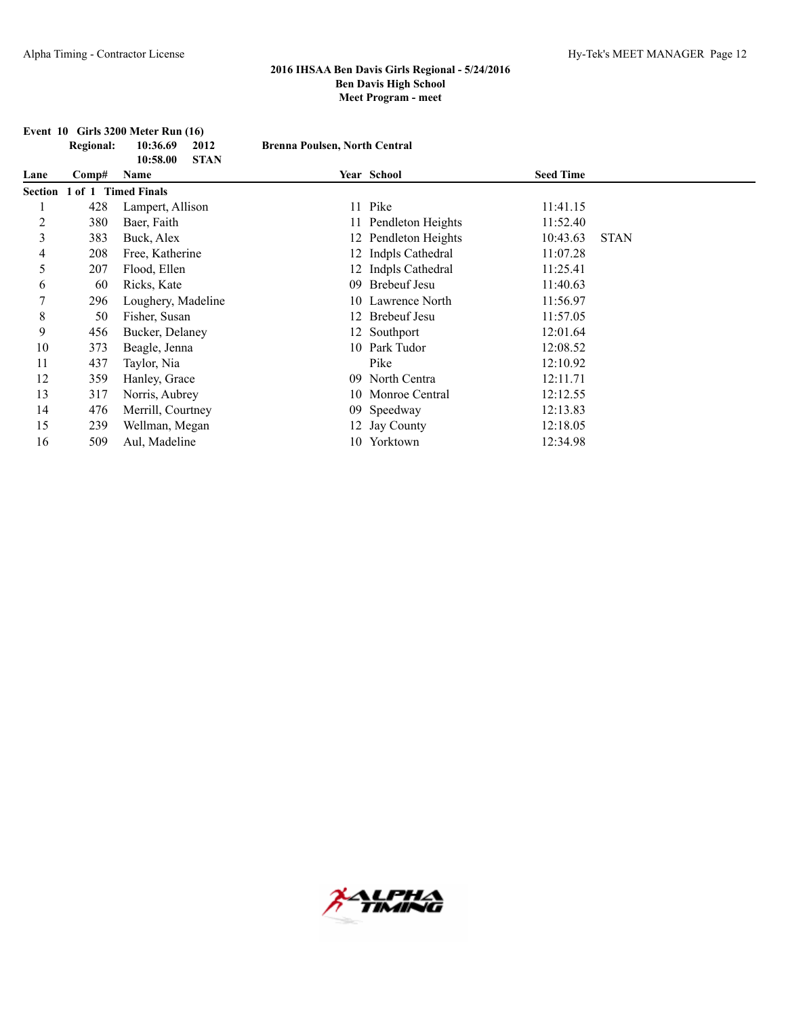|         | <b>Regional:</b> | 2012<br>10:36.69                | <b>Brenna Poulsen, North Central</b> |                      |                  |             |
|---------|------------------|---------------------------------|--------------------------------------|----------------------|------------------|-------------|
| Lane    | Comp#            | <b>STAN</b><br>10:58.00<br>Name |                                      | Year School          | <b>Seed Time</b> |             |
| Section | $1$ of $1$       | <b>Timed Finals</b>             |                                      |                      |                  |             |
|         | 428              | Lampert, Allison                |                                      | 11 Pike              | 11:41.15         |             |
| 2       | 380              | Baer, Faith                     |                                      | 11 Pendleton Heights | 11:52.40         |             |
| 3       | 383              | Buck, Alex                      |                                      | 12 Pendleton Heights | 10:43.63         | <b>STAN</b> |
| 4       | 208              | Free, Katherine                 |                                      | 12 Indpls Cathedral  | 11:07.28         |             |
| 5       | 207              | Flood, Ellen                    |                                      | 12 Indpls Cathedral  | 11:25.41         |             |
| 6       | 60               | Ricks, Kate                     |                                      | 09 Brebeuf Jesu      | 11:40.63         |             |
| 7       | 296              | Loughery, Madeline              |                                      | 10 Lawrence North    | 11:56.97         |             |
| 8       | 50               | Fisher, Susan                   |                                      | 12 Brebeuf Jesu      | 11:57.05         |             |
| 9       | 456              | Bucker, Delaney                 |                                      | 12 Southport         | 12:01.64         |             |
| 10      | 373              | Beagle, Jenna                   |                                      | 10 Park Tudor        | 12:08.52         |             |
| 11      | 437              | Taylor, Nia                     |                                      | Pike                 | 12:10.92         |             |
| 12      | 359              | Hanley, Grace                   |                                      | 09 North Centra      | 12:11.71         |             |
| 13      | 317              | Norris, Aubrey                  |                                      | 10 Monroe Central    | 12:12.55         |             |
| 14      | 476              | Merrill, Courtney               |                                      | 09 Speedway          | 12:13.83         |             |
| 15      | 239              | Wellman, Megan                  |                                      | 12 Jay County        | 12:18.05         |             |
| 16      | 509              | Aul, Madeline                   |                                      | 10 Yorktown          | 12:34.98         |             |

# **Event 10 Girls 3200 Meter Run (16)**

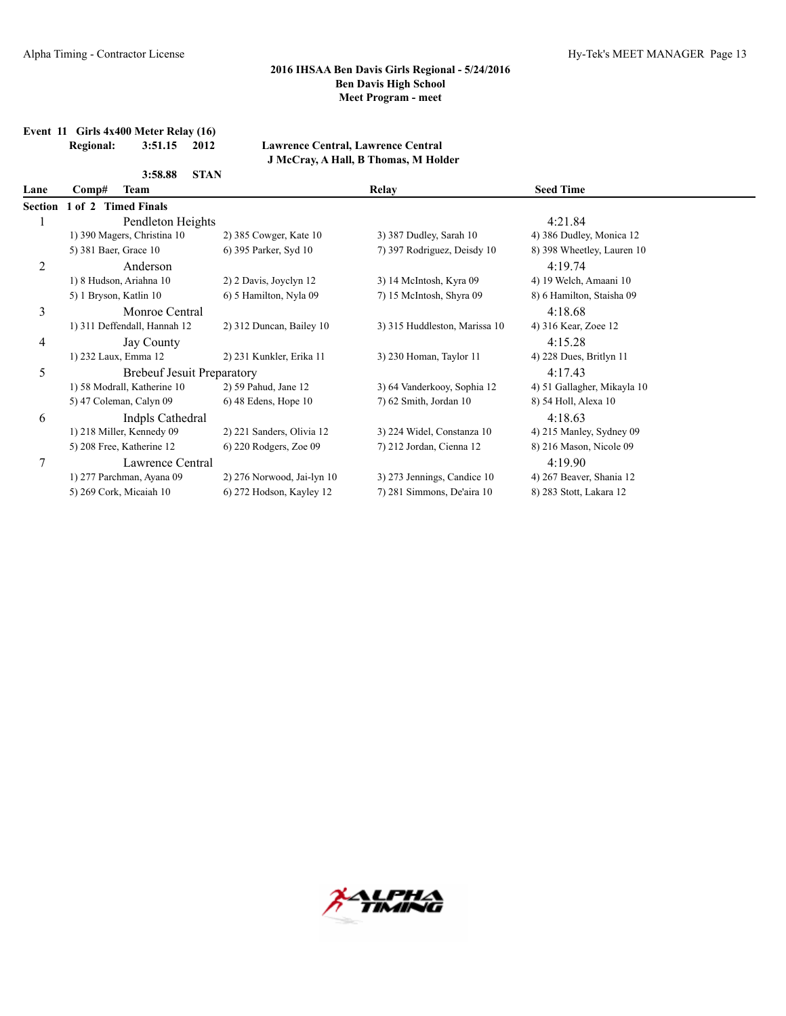**Event 11 Girls 4x400 Meter Relay (16)**

**Regional: 3:51.15 2012 Lawrence Central, Lawrence Central J McCray, A Hall, B Thomas, M Holder**

|       | 3:58.88 |                                                                                                                                                                                                                                                                                                                                                                                                        |                                                                                                                                 |                             |  |
|-------|---------|--------------------------------------------------------------------------------------------------------------------------------------------------------------------------------------------------------------------------------------------------------------------------------------------------------------------------------------------------------------------------------------------------------|---------------------------------------------------------------------------------------------------------------------------------|-----------------------------|--|
| Comp# |         |                                                                                                                                                                                                                                                                                                                                                                                                        | <b>Relay</b>                                                                                                                    | <b>Seed Time</b>            |  |
|       |         |                                                                                                                                                                                                                                                                                                                                                                                                        |                                                                                                                                 |                             |  |
|       |         |                                                                                                                                                                                                                                                                                                                                                                                                        |                                                                                                                                 | 4:21.84                     |  |
|       |         | 2) 385 Cowger, Kate 10                                                                                                                                                                                                                                                                                                                                                                                 | 3) 387 Dudley, Sarah 10                                                                                                         | 4) 386 Dudley, Monica 12    |  |
|       |         | 6) 395 Parker, Syd 10                                                                                                                                                                                                                                                                                                                                                                                  | 7) 397 Rodriguez, Deisdy 10                                                                                                     | 8) 398 Wheetley, Lauren 10  |  |
|       |         |                                                                                                                                                                                                                                                                                                                                                                                                        |                                                                                                                                 | 4:19.74                     |  |
|       |         | 2) 2 Davis, Joyclyn 12                                                                                                                                                                                                                                                                                                                                                                                 | 3) 14 McIntosh, Kyra 09                                                                                                         | 4) 19 Welch, Amaani 10      |  |
|       |         | 6) 5 Hamilton, Nyla 09                                                                                                                                                                                                                                                                                                                                                                                 | 7) 15 McIntosh, Shyra 09                                                                                                        | 8) 6 Hamilton, Staisha 09   |  |
|       |         |                                                                                                                                                                                                                                                                                                                                                                                                        |                                                                                                                                 | 4:18.68                     |  |
|       |         | 2) 312 Duncan, Bailey 10                                                                                                                                                                                                                                                                                                                                                                               | 3) 315 Huddleston, Marissa 10                                                                                                   | 4) 316 Kear, Zoee 12        |  |
|       |         |                                                                                                                                                                                                                                                                                                                                                                                                        |                                                                                                                                 | 4:15.28                     |  |
|       |         | 2) 231 Kunkler, Erika 11                                                                                                                                                                                                                                                                                                                                                                               | 3) 230 Homan, Taylor 11                                                                                                         | 4) 228 Dues, Britlyn 11     |  |
|       |         |                                                                                                                                                                                                                                                                                                                                                                                                        |                                                                                                                                 | 4:17.43                     |  |
|       |         | 2) 59 Pahud, Jane 12                                                                                                                                                                                                                                                                                                                                                                                   | 3) 64 Vanderkooy, Sophia 12                                                                                                     | 4) 51 Gallagher, Mikayla 10 |  |
|       |         | $6)$ 48 Edens, Hope 10                                                                                                                                                                                                                                                                                                                                                                                 | $7)$ 62 Smith, Jordan 10                                                                                                        | 8) 54 Holl, Alexa 10        |  |
|       |         |                                                                                                                                                                                                                                                                                                                                                                                                        |                                                                                                                                 | 4:18.63                     |  |
|       |         | 2) 221 Sanders, Olivia 12                                                                                                                                                                                                                                                                                                                                                                              | 3) 224 Widel, Constanza 10                                                                                                      | 4) 215 Manley, Sydney 09    |  |
|       |         | 6) 220 Rodgers, Zoe 09                                                                                                                                                                                                                                                                                                                                                                                 | 7) 212 Jordan, Cienna 12                                                                                                        | 8) 216 Mason, Nicole 09     |  |
|       |         |                                                                                                                                                                                                                                                                                                                                                                                                        |                                                                                                                                 | 4:19.90                     |  |
|       |         | 2) 276 Norwood, Jai-lyn 10                                                                                                                                                                                                                                                                                                                                                                             | 3) 273 Jennings, Candice 10                                                                                                     | 4) 267 Beaver, Shania 12    |  |
|       |         | 6) 272 Hodson, Kayley 12                                                                                                                                                                                                                                                                                                                                                                               | 7) 281 Simmons, De'aira 10                                                                                                      | 8) 283 Stott, Lakara 12     |  |
|       |         | Team<br>1 of 2 Timed Finals<br>1) 390 Magers, Christina 10<br>5) 381 Baer, Grace 10<br>Anderson<br>1) 8 Hudson, Ariahna 10<br>5) 1 Bryson, Katlin 10<br>1) 311 Deffendall, Hannah 12<br>Jay County<br>1) 232 Laux, Emma 12<br>1) 58 Modrall, Katherine 10<br>5) 47 Coleman, Calyn 09<br>1) 218 Miller, Kennedy 09<br>5) 208 Free, Katherine 12<br>1) 277 Parchman, Ayana 09<br>5) 269 Cork, Micaiah 10 | <b>STAN</b><br>Pendleton Heights<br>Monroe Central<br><b>Brebeuf Jesuit Preparatory</b><br>Indpls Cathedral<br>Lawrence Central |                             |  |

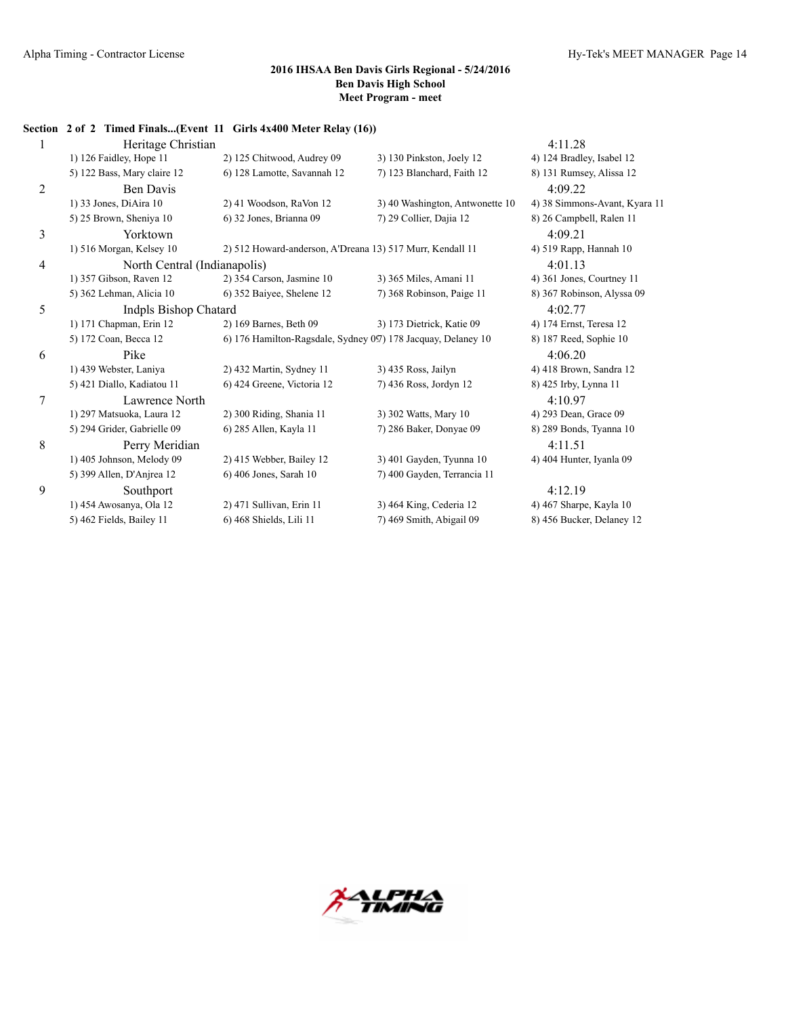**Section 2 of 2 Timed Finals...(Event 11 Girls 4x400 Meter Relay (16))**

| 1 | Heritage Christian           |                                                               |                                 | 4:11.28                       |
|---|------------------------------|---------------------------------------------------------------|---------------------------------|-------------------------------|
|   | 1) 126 Faidley, Hope 11      | 2) 125 Chitwood, Audrey 09                                    | 3) 130 Pinkston, Joely 12       | 4) 124 Bradley, Isabel 12     |
|   | 5) 122 Bass, Mary claire 12  | 6) 128 Lamotte, Savannah 12                                   | 7) 123 Blanchard, Faith 12      | 8) 131 Rumsey, Alissa 12      |
| 2 | <b>Ben Davis</b>             |                                                               |                                 | 4:09.22                       |
|   | 1) 33 Jones, DiAira 10       | 2) 41 Woodson, RaVon 12                                       | 3) 40 Washington, Antwonette 10 | 4) 38 Simmons-Avant, Kyara 11 |
|   | 5) 25 Brown, Sheniya 10      | 6) 32 Jones, Brianna 09                                       | 7) 29 Collier, Dajia 12         | 8) 26 Campbell, Ralen 11      |
| 3 | Yorktown                     |                                                               |                                 | 4:09.21                       |
|   | 1) 516 Morgan, Kelsey 10     | 2) 512 Howard-anderson, A'Dreana 13) 517 Murr, Kendall 11     |                                 | 4) 519 Rapp, Hannah 10        |
| 4 | North Central (Indianapolis) |                                                               |                                 | 4:01.13                       |
|   | 1) 357 Gibson, Raven 12      | 2) 354 Carson, Jasmine 10                                     | 3) 365 Miles, Amani 11          | 4) 361 Jones, Courtney 11     |
|   | 5) 362 Lehman, Alicia 10     | 6) 352 Baiyee, Shelene 12                                     | 7) 368 Robinson, Paige 11       | 8) 367 Robinson, Alyssa 09    |
| 5 | Indpls Bishop Chatard        |                                                               |                                 | 4:02.77                       |
|   | 1) 171 Chapman, Erin 12      | 2) 169 Barnes, Beth 09                                        | 3) 173 Dietrick, Katie 09       | 4) 174 Ernst, Teresa 12       |
|   | 5) 172 Coan, Becca 12        | 6) 176 Hamilton-Ragsdale, Sydney 097) 178 Jacquay, Delaney 10 |                                 | 8) 187 Reed, Sophie 10        |
| 6 | Pike                         |                                                               |                                 | 4:06.20                       |
|   | 1) 439 Webster, Laniya       | 2) 432 Martin, Sydney 11                                      | 3) 435 Ross, Jailyn             | 4) 418 Brown, Sandra 12       |
|   | 5) 421 Diallo, Kadiatou 11   | 6) 424 Greene, Victoria 12                                    | 7) 436 Ross, Jordyn 12          | 8) 425 Irby, Lynna 11         |
| 7 | Lawrence North               |                                                               |                                 | 4:10.97                       |
|   | 1) 297 Matsuoka, Laura 12    | 2) 300 Riding, Shania 11                                      | 3) 302 Watts, Mary 10           | 4) 293 Dean, Grace 09         |
|   | 5) 294 Grider, Gabrielle 09  | 6) 285 Allen, Kayla 11                                        | 7) 286 Baker, Donyae 09         | 8) 289 Bonds, Tyanna 10       |
| 8 | Perry Meridian               |                                                               |                                 | 4:11.51                       |
|   | 1) 405 Johnson, Melody 09    | 2) 415 Webber, Bailey 12                                      | 3) 401 Gayden, Tyunna 10        | 4) 404 Hunter, Ivanla 09      |
|   | 5) 399 Allen, D'Anjrea 12    | 6) 406 Jones, Sarah 10                                        | 7) 400 Gayden, Terrancia 11     |                               |
| 9 | Southport                    |                                                               |                                 | 4:12.19                       |
|   | 1) 454 Awosanya, Ola 12      | 2) 471 Sullivan, Erin 11                                      | 3) 464 King, Cederia 12         | 4) 467 Sharpe, Kayla 10       |
|   | 5) 462 Fields, Bailey 11     | 6) 468 Shields, Lili 11                                       | 7) 469 Smith, Abigail 09        | 8) 456 Bucker, Delaney 12     |

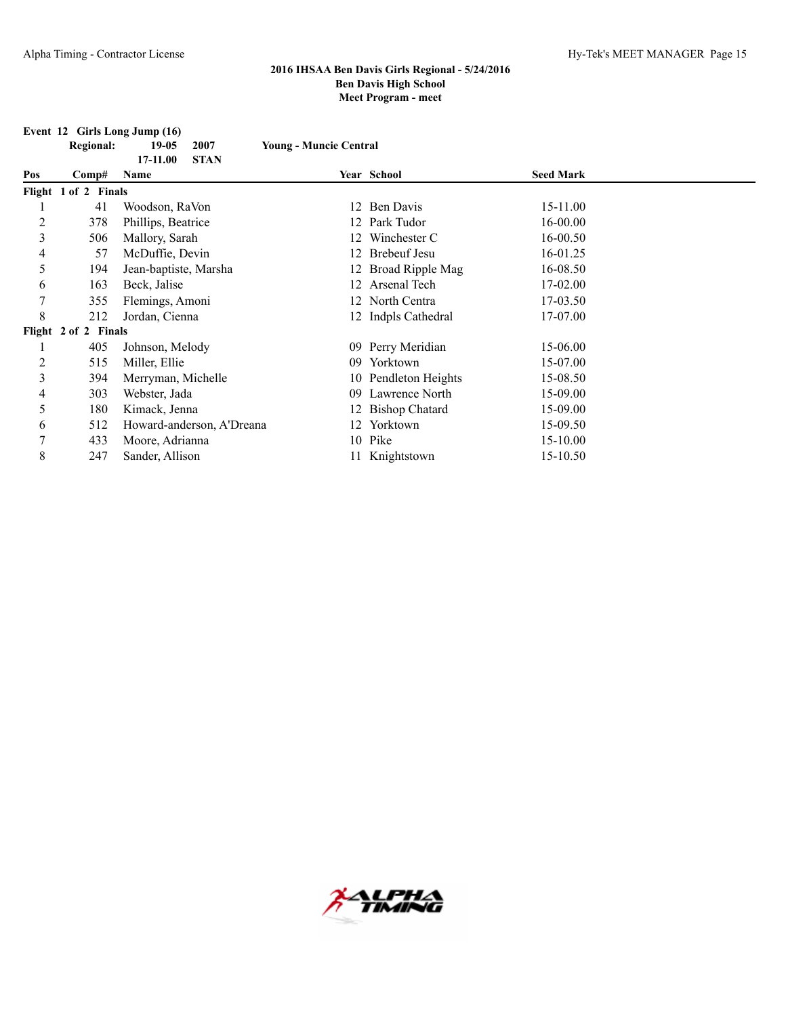**Event 12 Girls Long Jump (16)**

|     | <b>Regional:</b>     | $19-05$                   | 2007        | <b>Young - Muncie Central</b> |                      |                  |  |
|-----|----------------------|---------------------------|-------------|-------------------------------|----------------------|------------------|--|
|     |                      | 17-11.00                  | <b>STAN</b> |                               |                      |                  |  |
| Pos | Comp#                | Name                      |             |                               | Year School          | <b>Seed Mark</b> |  |
|     | Flight 1 of 2 Finals |                           |             |                               |                      |                  |  |
|     | 41                   | Woodson, RaVon            |             |                               | 12 Ben Davis         | 15-11.00         |  |
| 2   | 378                  | Phillips, Beatrice        |             |                               | 12 Park Tudor        | 16-00.00         |  |
| 3   | 506                  | Mallory, Sarah            |             |                               | Winchester C         | 16-00.50         |  |
| 4   | 57                   | McDuffie, Devin           |             | 12.                           | <b>Brebeuf Jesu</b>  | 16-01.25         |  |
| 5   | 194                  | Jean-baptiste, Marsha     |             |                               | 12 Broad Ripple Mag  | 16-08.50         |  |
| 6   | 163                  | Beck, Jalise              |             |                               | 12 Arsenal Tech      | 17-02.00         |  |
| 7   | 355                  | Flemings, Amoni           |             |                               | 12 North Centra      | 17-03.50         |  |
| 8   | 212                  | Jordan, Cienna            |             |                               | 12 Indpls Cathedral  | 17-07.00         |  |
|     | Flight 2 of 2 Finals |                           |             |                               |                      |                  |  |
|     | 405                  | Johnson, Melody           |             |                               | 09 Perry Meridian    | 15-06.00         |  |
| 2   | 515                  | Miller, Ellie             |             | 09                            | Yorktown             | 15-07.00         |  |
| 3   | 394                  | Merryman, Michelle        |             |                               | 10 Pendleton Heights | 15-08.50         |  |
| 4   | 303                  | Webster, Jada             |             | 09                            | Lawrence North       | 15-09.00         |  |
| 5   | 180                  | Kimack, Jenna             |             |                               | 12 Bishop Chatard    | 15-09.00         |  |
| 6   | 512                  | Howard-anderson, A'Dreana |             | 12.                           | Yorktown             | 15-09.50         |  |
| 7   | 433                  | Moore, Adrianna           |             |                               | 10 Pike              | 15-10.00         |  |
| 8   | 247                  | Sander, Allison           |             |                               | 11 Knightstown       | 15-10.50         |  |

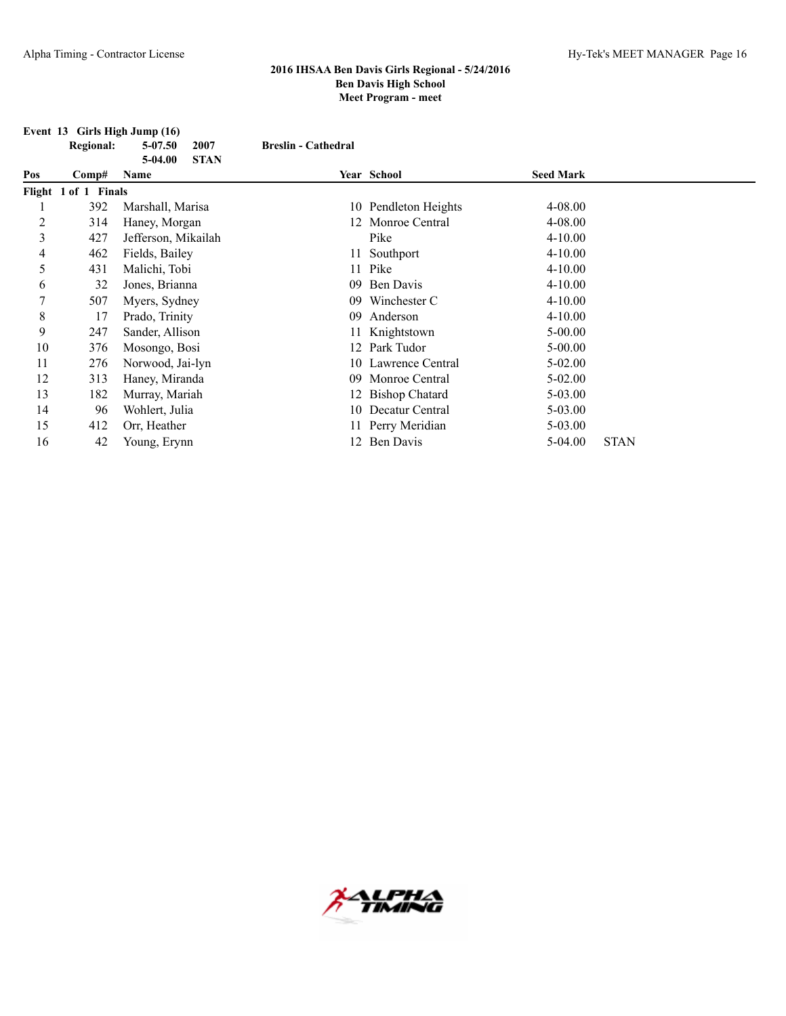**Event 13 Girls High Jump (16)**

|     | <b>Regional:</b>     | $5 - 07.50$<br>2007    | <b>Breslin - Cathedral</b> |                      |                  |             |
|-----|----------------------|------------------------|----------------------------|----------------------|------------------|-------------|
|     |                      | <b>STAN</b><br>5-04.00 |                            |                      |                  |             |
| Pos | Comp#                | Name                   |                            | Year School          | <b>Seed Mark</b> |             |
|     | Flight 1 of 1 Finals |                        |                            |                      |                  |             |
|     | 392                  | Marshall, Marisa       |                            | 10 Pendleton Heights | 4-08.00          |             |
| 2   | 314                  | Haney, Morgan          |                            | 12 Monroe Central    | $4 - 08.00$      |             |
| 3   | 427                  | Jefferson, Mikailah    |                            | Pike                 | $4 - 10.00$      |             |
| 4   | 462                  | Fields, Bailey         |                            | 11 Southport         | $4 - 10.00$      |             |
| 5   | 431                  | Malichi, Tobi          |                            | 11 Pike              | $4 - 10.00$      |             |
| 6   | 32                   | Jones, Brianna         | 09.                        | Ben Davis            | $4 - 10.00$      |             |
| 7   | 507                  | Myers, Sydney          | 09                         | Winchester C         | $4 - 10.00$      |             |
| 8   | 17                   | Prado, Trinity         | 09                         | Anderson             | $4 - 10.00$      |             |
| 9   | 247                  | Sander, Allison        |                            | Knightstown          | $5 - 00.00$      |             |
| 10  | 376                  | Mosongo, Bosi          |                            | 12 Park Tudor        | $5 - 00.00$      |             |
| 11  | 276                  | Norwood, Jai-lyn       |                            | 10 Lawrence Central  | $5-02.00$        |             |
| 12  | 313                  | Haney, Miranda         | 09.                        | Monroe Central       | $5-02.00$        |             |
| 13  | 182                  | Murray, Mariah         |                            | 12 Bishop Chatard    | $5-03.00$        |             |
| 14  | 96                   | Wohlert, Julia         |                            | 10 Decatur Central   | 5-03.00          |             |
| 15  | 412                  | Orr, Heather           |                            | 11 Perry Meridian    | $5 - 03.00$      |             |
| 16  | 42                   | Young, Erynn           |                            | 12 Ben Davis         | 5-04.00          | <b>STAN</b> |

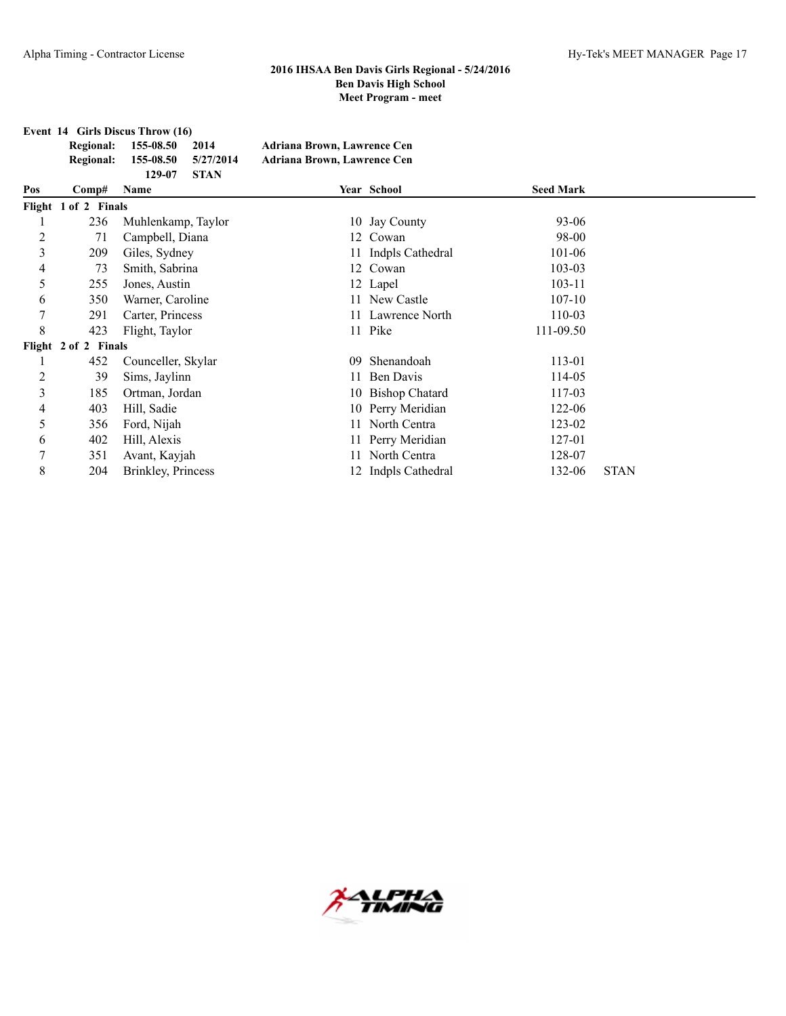**Event 14 Girls Discus Throw (16)**

| Regional: 155-08.50           | 2014 | Adriana Brown, Lawrence Cen |
|-------------------------------|------|-----------------------------|
| Regional: 155-08.50 5/27/2014 |      | Adriana Brown, Lawrence Cen |
| 129-07 STAN                   |      |                             |

|       | 14/-VI<br><b>PERM</b> |                                              |              |                                                                                                                                                                                                                                             |             |
|-------|-----------------------|----------------------------------------------|--------------|---------------------------------------------------------------------------------------------------------------------------------------------------------------------------------------------------------------------------------------------|-------------|
| Comp# | Name                  |                                              |              | <b>Seed Mark</b>                                                                                                                                                                                                                            |             |
|       |                       |                                              |              |                                                                                                                                                                                                                                             |             |
| 236   | Muhlenkamp, Taylor    |                                              |              | 93-06                                                                                                                                                                                                                                       |             |
| 71    | Campbell, Diana       |                                              |              | 98-00                                                                                                                                                                                                                                       |             |
| 209   | Giles, Sydney         |                                              |              | 101-06                                                                                                                                                                                                                                      |             |
| 73    | Smith, Sabrina        |                                              |              | 103-03                                                                                                                                                                                                                                      |             |
| 255   | Jones, Austin         |                                              |              | 103-11                                                                                                                                                                                                                                      |             |
| 350   | Warner, Caroline      |                                              |              | $107-10$                                                                                                                                                                                                                                    |             |
| 291   | Carter, Princess      |                                              |              | 110-03                                                                                                                                                                                                                                      |             |
| 423   | Flight, Taylor        |                                              |              | 111-09.50                                                                                                                                                                                                                                   |             |
|       |                       |                                              |              |                                                                                                                                                                                                                                             |             |
| 452   | Counceller, Skylar    | 09                                           | Shenandoah   | 113-01                                                                                                                                                                                                                                      |             |
| 39    | Sims, Jaylinn         |                                              | Ben Davis    | 114-05                                                                                                                                                                                                                                      |             |
| 185   | Ortman, Jordan        |                                              |              | 117-03                                                                                                                                                                                                                                      |             |
| 403   | Hill, Sadie           |                                              |              | 122-06                                                                                                                                                                                                                                      |             |
| 356   | Ford, Nijah           |                                              | North Centra | 123-02                                                                                                                                                                                                                                      |             |
| 402   | Hill, Alexis          |                                              |              | 127-01                                                                                                                                                                                                                                      |             |
| 351   | Avant, Kayjah         | 11                                           | North Centra | 128-07                                                                                                                                                                                                                                      |             |
| 204   | Brinkley, Princess    |                                              |              | 132-06                                                                                                                                                                                                                                      | <b>STAN</b> |
|       |                       | Flight 1 of 2 Finals<br>Flight 2 of 2 Finals |              | Year School<br>10 Jay County<br>12 Cowan<br>11 Indpls Cathedral<br>12 Cowan<br>12 Lapel<br>11 New Castle<br>11 Lawrence North<br>11 Pike<br>11<br>10 Bishop Chatard<br>10 Perry Meridian<br>11.<br>11 Perry Meridian<br>12 Indpls Cathedral |             |

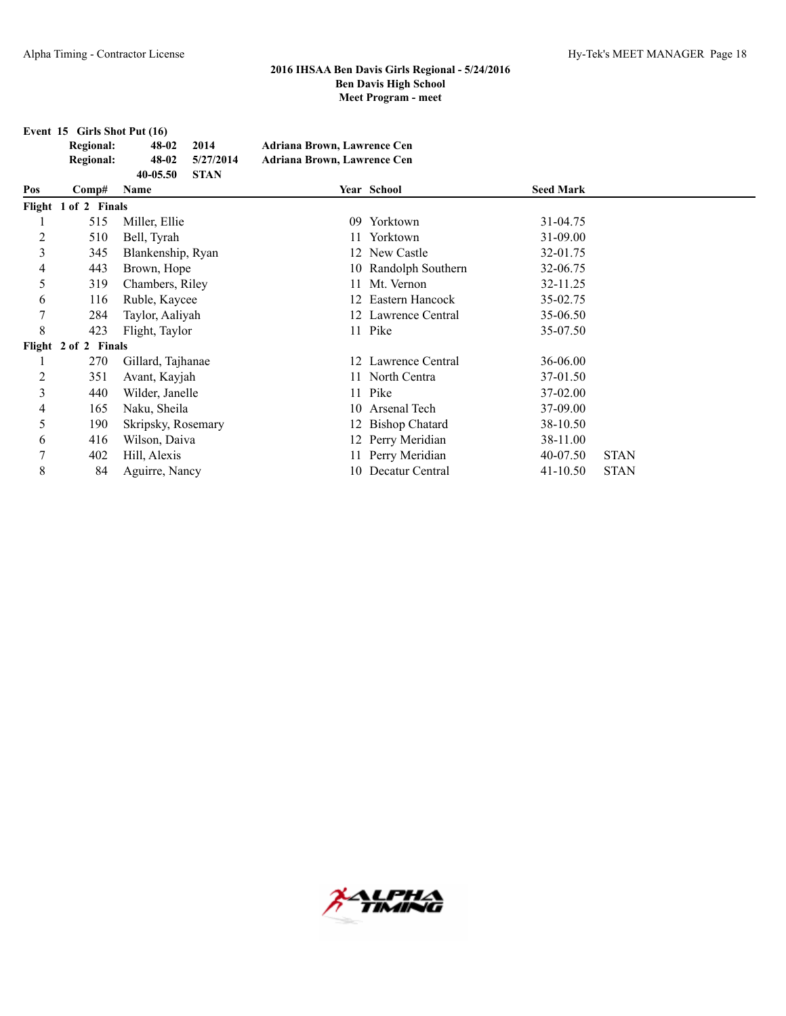**Event 15 Girls Shot Put (16)**

| <b>Regional:</b> | 48-02    | 2014        | Adriana Brown, Lawrence Cen |
|------------------|----------|-------------|-----------------------------|
| Regional:        | 48-02    | 5/27/2014   | Adriana Brown, Lawrence Cen |
|                  | 40-05.50 | <b>STAN</b> |                             |

| Pos            | Comp#                | Name               |    | Year School          | <b>Seed Mark</b> |             |
|----------------|----------------------|--------------------|----|----------------------|------------------|-------------|
|                | Flight 1 of 2 Finals |                    |    |                      |                  |             |
|                | 515                  | Miller, Ellie      | 09 | Yorktown             | 31-04.75         |             |
| 2              | 510                  | Bell, Tyrah        |    | 11 Yorktown          | 31-09.00         |             |
| 3              | 345                  | Blankenship, Ryan  |    | 12 New Castle        | 32-01.75         |             |
| 4              | 443                  | Brown, Hope        |    | 10 Randolph Southern | 32-06.75         |             |
| 5              | 319                  | Chambers, Riley    |    | 11 Mt. Vernon        | 32-11.25         |             |
| 6              | 116                  | Ruble, Kaycee      |    | 12 Eastern Hancock   | 35-02.75         |             |
| 7              | 284                  | Taylor, Aaliyah    |    | 12 Lawrence Central  | 35-06.50         |             |
| 8              | 423                  | Flight, Taylor     |    | 11 Pike              | 35-07.50         |             |
|                | Flight 2 of 2 Finals |                    |    |                      |                  |             |
|                | 270                  | Gillard, Tajhanae  |    | 12 Lawrence Central  | 36-06.00         |             |
| $\overline{c}$ | 351                  | Avant, Kayjah      |    | 11 North Centra      | 37-01.50         |             |
| 3              | 440                  | Wilder, Janelle    |    | 11 Pike              | 37-02.00         |             |
| 4              | 165                  | Naku, Sheila       |    | 10 Arsenal Tech      | 37-09.00         |             |
| 5              | 190                  | Skripsky, Rosemary |    | 12 Bishop Chatard    | 38-10.50         |             |
| 6              | 416                  | Wilson, Daiva      |    | 12 Perry Meridian    | 38-11.00         |             |
| 7              | 402                  | Hill, Alexis       |    | 11 Perry Meridian    | 40-07.50         | <b>STAN</b> |
| 8              | 84                   | Aguirre, Nancy     |    | 10 Decatur Central   | $41 - 10.50$     | <b>STAN</b> |